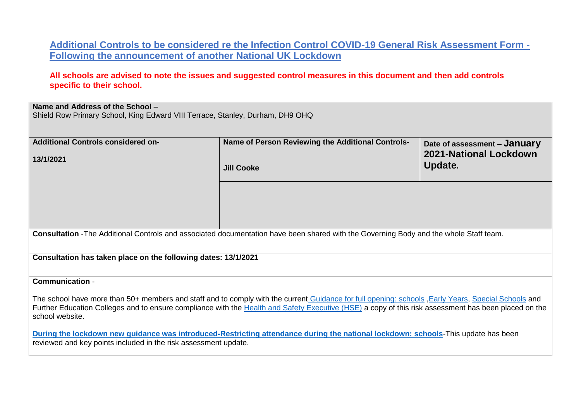## **Additional Controls to be considered re the Infection Control COVID-19 General Risk Assessment Form - Following the announcement of another National UK Lockdown**

## **All schools are advised to note the issues and suggested control measures in this document and then add controls specific to their school.**

| Name and Address of the School -                                              |                                                                                                                                                                                                                                                                                                             |                                                        |
|-------------------------------------------------------------------------------|-------------------------------------------------------------------------------------------------------------------------------------------------------------------------------------------------------------------------------------------------------------------------------------------------------------|--------------------------------------------------------|
| Shield Row Primary School, King Edward VIII Terrace, Stanley, Durham, DH9 OHQ |                                                                                                                                                                                                                                                                                                             |                                                        |
|                                                                               |                                                                                                                                                                                                                                                                                                             |                                                        |
| <b>Additional Controls considered on-</b>                                     | Name of Person Reviewing the Additional Controls-                                                                                                                                                                                                                                                           | Date of assessment - January<br>2021-National Lockdown |
| 13/1/2021                                                                     | <b>Jill Cooke</b>                                                                                                                                                                                                                                                                                           | Update.                                                |
|                                                                               |                                                                                                                                                                                                                                                                                                             |                                                        |
|                                                                               |                                                                                                                                                                                                                                                                                                             |                                                        |
|                                                                               |                                                                                                                                                                                                                                                                                                             |                                                        |
|                                                                               |                                                                                                                                                                                                                                                                                                             |                                                        |
|                                                                               | Consultation - The Additional Controls and associated documentation have been shared with the Governing Body and the whole Staff team.                                                                                                                                                                      |                                                        |
| Consultation has taken place on the following dates: 13/1/2021                |                                                                                                                                                                                                                                                                                                             |                                                        |
|                                                                               |                                                                                                                                                                                                                                                                                                             |                                                        |
| <b>Communication -</b>                                                        |                                                                                                                                                                                                                                                                                                             |                                                        |
| school website.                                                               | The school have more than 50+ members and staff and to comply with the current Guidance for full opening: schools, Early Years, Special Schools and<br>Further Education Colleges and to ensure compliance with the Health and Safety Executive (HSE) a copy of this risk assessment has been placed on the |                                                        |
|                                                                               | During the lockdown new guidance was introduced-Restricting attendance during the national lockdown: schools-This update has been                                                                                                                                                                           |                                                        |
| reviewed and key points included in the risk assessment update.               |                                                                                                                                                                                                                                                                                                             |                                                        |
|                                                                               |                                                                                                                                                                                                                                                                                                             |                                                        |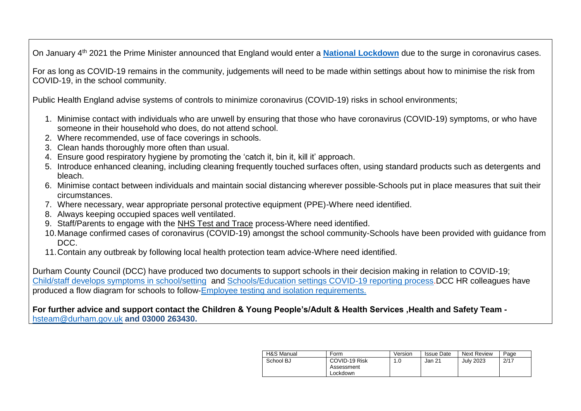On January 4th 2021 the Prime Minister announced that England would enter a **[National Lockdown](https://www.gov.uk/guidance/national-lockdown-stay-at-home)** due to the surge in coronavirus cases.

For as long as COVID-19 remains in the community, judgements will need to be made within settings about how to minimise the risk from COVID-19, in the school community.

Public Health England advise systems of controls to minimize coronavirus (COVID-19) risks in school environments;

- 1. Minimise contact with individuals who are unwell by ensuring that those who have coronavirus (COVID-19) symptoms, or who have someone in their household who does, do not attend school.
- 2. Where recommended, use of face coverings in schools.
- 3. Clean hands thoroughly more often than usual.
- 4. Ensure good respiratory hygiene by promoting the 'catch it, bin it, kill it' approach.
- 5. Introduce enhanced cleaning, including cleaning frequently touched surfaces often, using standard products such as detergents and bleach.
- 6. Minimise contact between individuals and maintain social distancing wherever possible-Schools put in place measures that suit their circumstances.
- 7. Where necessary, wear appropriate personal protective equipment (PPE)-Where need identified.
- 8. Always keeping occupied spaces well ventilated.
- 9. Staff/Parents to engage with the [NHS Test and Trace](https://www.gov.uk/guidance/nhs-test-and-trace-how-it-works) process-Where need identified.
- 10.Manage confirmed cases of coronavirus (COVID-19) amongst the school community-Schools have been provided with guidance from DCC.
- 11.Contain any outbreak by following local health protection team advice-Where need identified.

Durham County Council (DCC) have produced two documents to support schools in their decision making in relation to COVID-19; [Child/staff develops symptoms in school/setting](https://gateway.durhamschools.org.uk/premises/healthsafety/Lists/Covid19/Document.aspx?ID=1&Source=https://gateway.durhamschools.org.uk/premises/healthsafety%2FLists/Covid19) and [Schools/Education settings COVID-19 reporting process.](https://gateway.durhamschools.org.uk/premises/healthsafety/Lists/Covid19/Document.aspx?ID=1&Source=https://gateway.durhamschools.org.uk/premises/healthsafety%2FLists/Covid19)DCC HR colleagues have produced a flow diagram for schools to follow[-Employee testing and isolation requirements.](https://gateway.durhamschools.org.uk/staff/coronavirus/Lists/News/Article.aspx?ID=104&Source=https%3A%2F%2Fgateway%2Edurhamschools%2Eorg%2Euk%2Fstaff%2Fcoronavirus%2Fdefault%2Easpx&ContentTypeId=0x0104008915FA378D18459F9146E20845A8904D00B30336EC3294CD499B1D8BFA7A6DBFA7)

## **For further advice and support contact the Children & Young People's/Adult & Health Services ,Health and Safety Team**  [hsteam@durham.gov.uk](mailto:hsteam@durham.gov.uk) **and 03000 263430.**

| H&S Manual | Form                                    | Version | <b>Issue Date</b> | Next Review      | Page |
|------------|-----------------------------------------|---------|-------------------|------------------|------|
| School BJ  | COVID-19 Risk<br>Assessment<br>_ockdown | 0. ا    | Jan 21            | <b>July 2023</b> | 2/17 |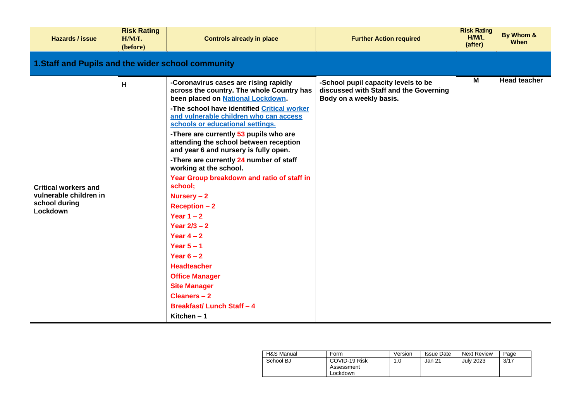| Hazards / issue                                                                    | <b>Risk Rating</b><br>H/M/L<br>(before) | <b>Controls already in place</b>                                                                                                                                                                                                                                                                                                                                                                                                                                                                                                                                                                                                                                                                                                                                                 | <b>Further Action required</b>                                                                           | <b>Risk Rating</b><br>H/M/L<br>(after) | By Whom &<br>When   |
|------------------------------------------------------------------------------------|-----------------------------------------|----------------------------------------------------------------------------------------------------------------------------------------------------------------------------------------------------------------------------------------------------------------------------------------------------------------------------------------------------------------------------------------------------------------------------------------------------------------------------------------------------------------------------------------------------------------------------------------------------------------------------------------------------------------------------------------------------------------------------------------------------------------------------------|----------------------------------------------------------------------------------------------------------|----------------------------------------|---------------------|
| 1. Staff and Pupils and the wider school community                                 |                                         |                                                                                                                                                                                                                                                                                                                                                                                                                                                                                                                                                                                                                                                                                                                                                                                  |                                                                                                          |                                        |                     |
| <b>Critical workers and</b><br>vulnerable children in<br>school during<br>Lockdown | н                                       | -Coronavirus cases are rising rapidly<br>across the country. The whole Country has<br>been placed on National Lockdown.<br>-The school have identified Critical worker<br>and vulnerable children who can access<br>schools or educational settings.<br>-There are currently 53 pupils who are<br>attending the school between reception<br>and year 6 and nursery is fully open.<br>-There are currently 24 number of staff<br>working at the school.<br>Year Group breakdown and ratio of staff in<br>school;<br>Nursery - 2<br><b>Reception - 2</b><br>Year $1 - 2$<br>Year $2/3 - 2$<br>Year $4 - 2$<br>Year $5 - 1$<br>Year $6 - 2$<br><b>Headteacher</b><br><b>Office Manager</b><br><b>Site Manager</b><br>Cleaners - 2<br><b>Breakfast/Lunch Staff-4</b><br>Kitchen $-1$ | -School pupil capacity levels to be<br>discussed with Staff and the Governing<br>Body on a weekly basis. | M                                      | <b>Head teacher</b> |

| H&S Manual | Form                                    | Version | <b>Issue Date</b> | Next Review      | Page |
|------------|-----------------------------------------|---------|-------------------|------------------|------|
| School BJ  | COVID-19 Risk<br>Assessment<br>Lockdown | 1.0     | Jan 21            | <b>July 2023</b> | 3/17 |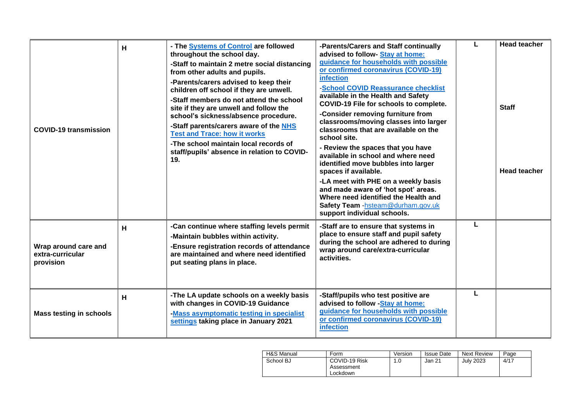| <b>COVID-19 transmission</b>                          | H | - The Systems of Control are followed<br>throughout the school day.<br>-Staff to maintain 2 metre social distancing<br>from other adults and pupils.<br>-Parents/carers advised to keep their<br>children off school if they are unwell.<br>-Staff members do not attend the school<br>site if they are unwell and follow the<br>school's sickness/absence procedure.<br>-Staff parents/carers aware of the NHS<br><b>Test and Trace: how it works</b><br>-The school maintain local records of<br>staff/pupils' absence in relation to COVID-<br>19. | -Parents/Carers and Staff continually<br>advised to follow-Stay at home:<br>guidance for households with possible<br>or confirmed coronavirus (COVID-19)<br>infection<br>-School COVID Reassurance checklist<br>available in the Health and Safety<br>COVID-19 File for schools to complete.<br>-Consider removing furniture from<br>classrooms/moving classes into larger<br>classrooms that are available on the<br>school site.<br>- Review the spaces that you have<br>available in school and where need<br>identified move bubbles into larger<br>spaces if available.<br>-LA meet with PHE on a weekly basis<br>and made aware of 'hot spot' areas.<br>Where need identified the Health and<br>Safety Team -hsteam@durham.gov.uk<br>support individual schools. | L | <b>Head teacher</b><br><b>Staff</b><br><b>Head teacher</b> |
|-------------------------------------------------------|---|-------------------------------------------------------------------------------------------------------------------------------------------------------------------------------------------------------------------------------------------------------------------------------------------------------------------------------------------------------------------------------------------------------------------------------------------------------------------------------------------------------------------------------------------------------|------------------------------------------------------------------------------------------------------------------------------------------------------------------------------------------------------------------------------------------------------------------------------------------------------------------------------------------------------------------------------------------------------------------------------------------------------------------------------------------------------------------------------------------------------------------------------------------------------------------------------------------------------------------------------------------------------------------------------------------------------------------------|---|------------------------------------------------------------|
| Wrap around care and<br>extra-curricular<br>provision | н | -Can continue where staffing levels permit<br>-Maintain bubbles within activity.<br>-Ensure registration records of attendance<br>are maintained and where need identified<br>put seating plans in place.                                                                                                                                                                                                                                                                                                                                             | -Staff are to ensure that systems in<br>place to ensure staff and pupil safety<br>during the school are adhered to during<br>wrap around care/extra-curricular<br>activities.                                                                                                                                                                                                                                                                                                                                                                                                                                                                                                                                                                                          | L |                                                            |
| <b>Mass testing in schools</b>                        | н | -The LA update schools on a weekly basis<br>with changes in COVID-19 Guidance<br>-Mass asymptomatic testing in specialist<br>settings taking place in January 2021                                                                                                                                                                                                                                                                                                                                                                                    | -Staff/pupils who test positive are<br>advised to follow -Stay at home:<br>guidance for households with possible<br>or confirmed coronavirus (COVID-19)<br>infection                                                                                                                                                                                                                                                                                                                                                                                                                                                                                                                                                                                                   | L |                                                            |

| H&S Manual | Form                                    | Version | <b>Issue Date</b> | <b>Next Review</b> | Page |
|------------|-----------------------------------------|---------|-------------------|--------------------|------|
| School BJ  | COVID-19 Risk<br>Assessment<br>Lockdown | 1.0     | Jan 21            | July 2023          | 4/17 |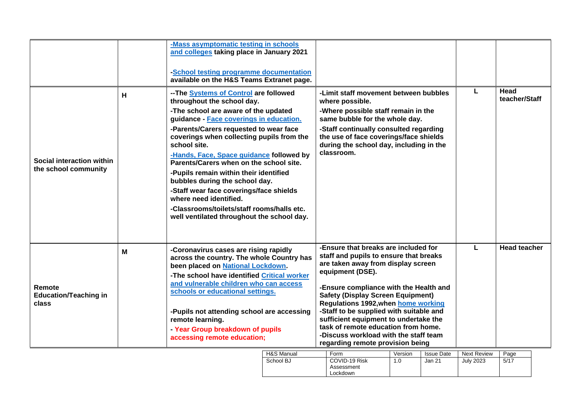|                                                   |   | -Mass asymptomatic testing in schools<br>and colleges taking place in January 2021<br>-School testing programme documentation<br>available on the H&S Teams Extranet page.                                                                                                                                                                                                                                                                                                                                                                                                                         |                         |                                                                                                                                                                                                                                                                                                                                                                                                                                                                                      |                |                             |                                        |                       |
|---------------------------------------------------|---|----------------------------------------------------------------------------------------------------------------------------------------------------------------------------------------------------------------------------------------------------------------------------------------------------------------------------------------------------------------------------------------------------------------------------------------------------------------------------------------------------------------------------------------------------------------------------------------------------|-------------------------|--------------------------------------------------------------------------------------------------------------------------------------------------------------------------------------------------------------------------------------------------------------------------------------------------------------------------------------------------------------------------------------------------------------------------------------------------------------------------------------|----------------|-----------------------------|----------------------------------------|-----------------------|
| Social interaction within<br>the school community | н | -- The Systems of Control are followed<br>throughout the school day.<br>-The school are aware of the updated<br>guidance - Face coverings in education.<br>-Parents/Carers requested to wear face<br>coverings when collecting pupils from the<br>school site.<br>-Hands, Face, Space guidance followed by<br>Parents/Carers when on the school site.<br>-Pupils remain within their identified<br>bubbles during the school day.<br>-Staff wear face coverings/face shields<br>where need identified.<br>-Classrooms/toilets/staff rooms/halls etc.<br>well ventilated throughout the school day. |                         | -Limit staff movement between bubbles<br>where possible.<br>-Where possible staff remain in the<br>same bubble for the whole day.<br>-Staff continually consulted regarding<br>the use of face coverings/face shields<br>during the school day, including in the<br>classroom.                                                                                                                                                                                                       |                |                             |                                        | Head<br>teacher/Staff |
| Remote<br><b>Education/Teaching in</b><br>class   | м | -Coronavirus cases are rising rapidly<br>across the country. The whole Country has<br>been placed on National Lockdown.<br>-The school have identified Critical worker<br>and vulnerable children who can access<br>schools or educational settings.<br>-Pupils not attending school are accessing<br>remote learning.<br>- Year Group breakdown of pupils<br>accessing remote education;                                                                                                                                                                                                          |                         | -Ensure that breaks are included for<br>staff and pupils to ensure that breaks<br>are taken away from display screen<br>equipment (DSE).<br>-Ensure compliance with the Health and<br><b>Safety (Display Screen Equipment)</b><br><b>Regulations 1992, when home working</b><br>-Staff to be supplied with suitable and<br>sufficient equipment to undertake the<br>task of remote education from home.<br>-Discuss workload with the staff team<br>regarding remote provision being |                |                             | L                                      | <b>Head teacher</b>   |
|                                                   |   |                                                                                                                                                                                                                                                                                                                                                                                                                                                                                                                                                                                                    | H&S Manual<br>School BJ | Form<br>COVID-19 Risk                                                                                                                                                                                                                                                                                                                                                                                                                                                                | Version<br>1.0 | <b>Issue Date</b><br>Jan 21 | <b>Next Review</b><br><b>July 2023</b> | Page<br>5/17          |

Assessment **Lockdown**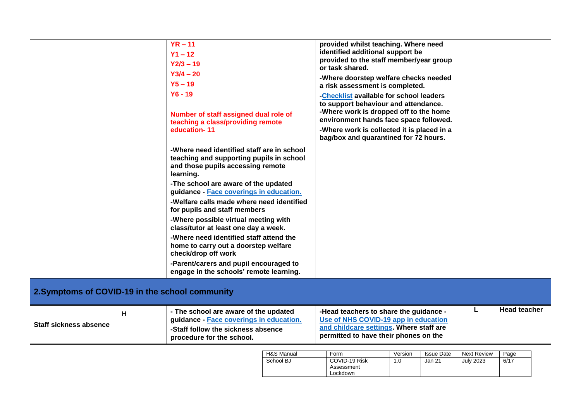|                                                 |   | $YR - 11$<br>$Y1 - 12$<br>$Y2/3 - 19$<br>$Y3/4 - 20$<br>$Y5 - 19$<br>$Y6 - 19$<br>Number of staff assigned dual role of<br>teaching a class/providing remote<br>education-11<br>-Where need identified staff are in school<br>teaching and supporting pupils in school<br>and those pupils accessing remote<br>learning.<br>-The school are aware of the updated<br>guidance - Face coverings in education.<br>-Welfare calls made where need identified<br>for pupils and staff members<br>-Where possible virtual meeting with<br>class/tutor at least one day a week.<br>-Where need identified staff attend the<br>home to carry out a doorstep welfare<br>check/drop off work<br>-Parent/carers and pupil encouraged to<br>engage in the schools' remote learning. | provided whilst teaching. Where need<br>identified additional support be<br>provided to the staff member/year group<br>or task shared.<br>-Where doorstep welfare checks needed<br>a risk assessment is completed.<br>-Checklist available for school leaders<br>to support behaviour and attendance.<br>-Where work is dropped off to the home<br>environment hands face space followed.<br>-Where work is collected it is placed in a<br>bag/box and quarantined for 72 hours. |   |                     |
|-------------------------------------------------|---|-------------------------------------------------------------------------------------------------------------------------------------------------------------------------------------------------------------------------------------------------------------------------------------------------------------------------------------------------------------------------------------------------------------------------------------------------------------------------------------------------------------------------------------------------------------------------------------------------------------------------------------------------------------------------------------------------------------------------------------------------------------------------|----------------------------------------------------------------------------------------------------------------------------------------------------------------------------------------------------------------------------------------------------------------------------------------------------------------------------------------------------------------------------------------------------------------------------------------------------------------------------------|---|---------------------|
| 2. Symptoms of COVID-19 in the school community |   |                                                                                                                                                                                                                                                                                                                                                                                                                                                                                                                                                                                                                                                                                                                                                                         |                                                                                                                                                                                                                                                                                                                                                                                                                                                                                  |   |                     |
| <b>Staff sickness absence</b>                   | н | - The school are aware of the updated<br>guidance - Face coverings in education.<br>-Staff follow the sickness absence<br>procedure for the school.                                                                                                                                                                                                                                                                                                                                                                                                                                                                                                                                                                                                                     | -Head teachers to share the guidance -<br>Use of NHS COVID-19 app in education<br>and childcare settings. Where staff are<br>permitted to have their phones on the                                                                                                                                                                                                                                                                                                               | L | <b>Head teacher</b> |

| H&S Manual | Form                                    | Version | <b>Issue Date</b> | <b>Next Review</b> | Page |
|------------|-----------------------------------------|---------|-------------------|--------------------|------|
| School BJ  | COVID-19 Risk<br>Assessment<br>_ockdown | 1.0     | Jan 21            | <b>July 2023</b>   | 6/17 |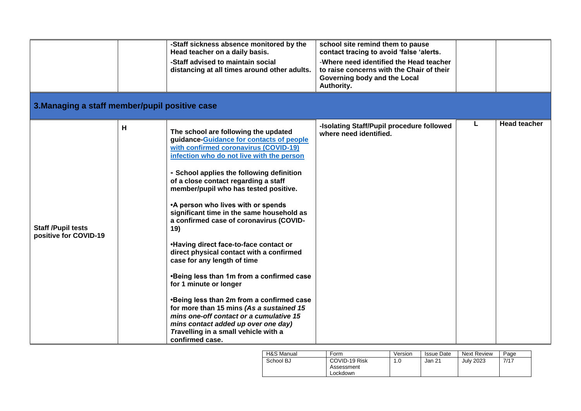|                                                    |   | -Staff sickness absence monitored by the<br>Head teacher on a daily basis.<br>-Staff advised to maintain social<br>distancing at all times around other adults.                                                                                                                                                                                                                                                                                                                                                                                                                                                                                                                                                                                                                                                                                                             | school site remind them to pause<br>contact tracing to avoid 'false 'alerts.<br>-Where need identified the Head teacher<br>to raise concerns with the Chair of their<br>Governing body and the Local<br>Authority. |   |                     |
|----------------------------------------------------|---|-----------------------------------------------------------------------------------------------------------------------------------------------------------------------------------------------------------------------------------------------------------------------------------------------------------------------------------------------------------------------------------------------------------------------------------------------------------------------------------------------------------------------------------------------------------------------------------------------------------------------------------------------------------------------------------------------------------------------------------------------------------------------------------------------------------------------------------------------------------------------------|--------------------------------------------------------------------------------------------------------------------------------------------------------------------------------------------------------------------|---|---------------------|
| 3. Managing a staff member/pupil positive case     |   |                                                                                                                                                                                                                                                                                                                                                                                                                                                                                                                                                                                                                                                                                                                                                                                                                                                                             |                                                                                                                                                                                                                    |   |                     |
| <b>Staff /Pupil tests</b><br>positive for COVID-19 | н | The school are following the updated<br>guidance-Guidance for contacts of people<br>with confirmed coronavirus (COVID-19)<br>infection who do not live with the person<br>- School applies the following definition<br>of a close contact regarding a staff<br>member/pupil who has tested positive.<br>•A person who lives with or spends<br>significant time in the same household as<br>a confirmed case of coronavirus (COVID-<br>19)<br>•Having direct face-to-face contact or<br>direct physical contact with a confirmed<br>case for any length of time<br>•Being less than 1m from a confirmed case<br>for 1 minute or longer<br>•Being less than 2m from a confirmed case<br>for more than 15 mins (As a sustained 15<br>mins one-off contact or a cumulative 15<br>mins contact added up over one day)<br>Travelling in a small vehicle with a<br>confirmed case. | -Isolating Staff/Pupil procedure followed<br>where need identified.                                                                                                                                                | L | <b>Head teacher</b> |

| H&S Manual | Form                                    | Version | <b>Issue Date</b> | <b>Next Review</b> | Page |
|------------|-----------------------------------------|---------|-------------------|--------------------|------|
| School BJ  | COVID-19 Risk<br>Assessment<br>∟ockdown |         | Jan 21            | July 2023          | 7/17 |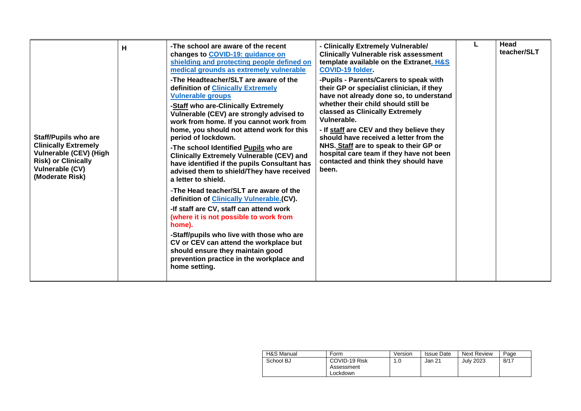| H&S Manual | Form                                    | Version | <b>Issue Date</b> | <b>Next Review</b> | Page |
|------------|-----------------------------------------|---------|-------------------|--------------------|------|
| School BJ  | COVID-19 Risk<br>Assessment<br>Lockdown | 1.0     | Jan 21            | July 2023          | 8/17 |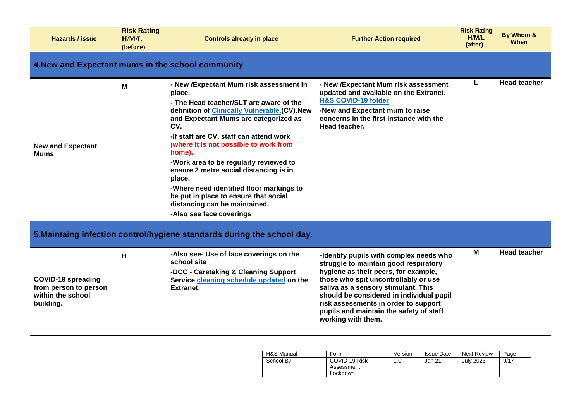| Hazards / issue                                                                      | <b>Risk Rating</b><br>H/M/L<br>(before) | <b>Controls already in place</b>                                                                                                                                                                                                                                                                                                                                                                                                                                                                                                            | <b>Risk Rating</b><br><b>Further Action required</b>                                                                                                                                                                                                                                                                                                         |   | By Whom &<br>When   |
|--------------------------------------------------------------------------------------|-----------------------------------------|---------------------------------------------------------------------------------------------------------------------------------------------------------------------------------------------------------------------------------------------------------------------------------------------------------------------------------------------------------------------------------------------------------------------------------------------------------------------------------------------------------------------------------------------|--------------------------------------------------------------------------------------------------------------------------------------------------------------------------------------------------------------------------------------------------------------------------------------------------------------------------------------------------------------|---|---------------------|
| 4. New and Expectant mums in the school community                                    |                                         |                                                                                                                                                                                                                                                                                                                                                                                                                                                                                                                                             |                                                                                                                                                                                                                                                                                                                                                              |   |                     |
| <b>New and Expectant</b><br><b>Mums</b>                                              | M                                       | - New /Expectant Mum risk assessment in<br>place.<br>- The Head teacher/SLT are aware of the<br>definition of Clinically Vulnerable.(CV).New<br>and Expectant Mums are categorized as<br>CV.<br>-If staff are CV, staff can attend work<br>(where it is not possible to work from<br>home).<br>-Work area to be regularly reviewed to<br>ensure 2 metre social distancing is in<br>place.<br>-Where need identified floor markings to<br>be put in place to ensure that social<br>distancing can be maintained.<br>-Also see face coverings | - New /Expectant Mum risk assessment<br>updated and available on the Extranet.<br><b>H&amp;S COVID-19 folder</b><br>-New and Expectant mum to raise<br>concerns in the first instance with the<br>Head teacher.                                                                                                                                              | L | <b>Head teacher</b> |
|                                                                                      |                                         | 5. Maintaing infection control/hygiene standards during the school day.                                                                                                                                                                                                                                                                                                                                                                                                                                                                     |                                                                                                                                                                                                                                                                                                                                                              |   |                     |
| <b>COVID-19 spreading</b><br>from person to person<br>within the school<br>building. | н                                       | -Also see- Use of face coverings on the<br>school site<br>-DCC - Caretaking & Cleaning Support<br>Service cleaning schedule updated on the<br>Extranet.                                                                                                                                                                                                                                                                                                                                                                                     | -Identify pupils with complex needs who<br>struggle to maintain good respiratory<br>hygiene as their peers, for example,<br>those who spit uncontrollably or use<br>saliva as a sensory stimulant. This<br>should be considered in individual pupil<br>risk assessments in order to support<br>pupils and maintain the safety of staff<br>working with them. | М | <b>Head teacher</b> |

| H&S Manual | Form                                    | Version | <b>Issue Date</b> | <b>Next Review</b> | Page |
|------------|-----------------------------------------|---------|-------------------|--------------------|------|
| School BJ  | COVID-19 Risk<br>Assessment<br>Lockdown | .0      | Jan 21            | July 2023          | 9/17 |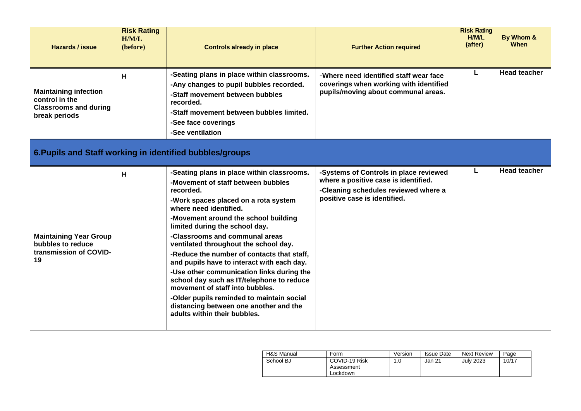| <b>Hazards / issue</b>                                                                          | <b>Risk Rating</b><br>H/M/L<br>(before) | <b>Controls already in place</b>                                                                                                                                                                                                                                                                                                                                                                                                                                                                                                                                                                                                                                     | <b>Further Action required</b>                                                                                                                         | <b>Risk Rating</b><br>H/M/L<br>(after) | By Whom &<br>When   |
|-------------------------------------------------------------------------------------------------|-----------------------------------------|----------------------------------------------------------------------------------------------------------------------------------------------------------------------------------------------------------------------------------------------------------------------------------------------------------------------------------------------------------------------------------------------------------------------------------------------------------------------------------------------------------------------------------------------------------------------------------------------------------------------------------------------------------------------|--------------------------------------------------------------------------------------------------------------------------------------------------------|----------------------------------------|---------------------|
| <b>Maintaining infection</b><br>control in the<br><b>Classrooms and during</b><br>break periods | н                                       | -Seating plans in place within classrooms.<br>-Any changes to pupil bubbles recorded.<br>-Staff movement between bubbles<br>recorded.<br>-Staff movement between bubbles limited.<br>-See face coverings<br>-See ventilation                                                                                                                                                                                                                                                                                                                                                                                                                                         | -Where need identified staff wear face<br>coverings when working with identified<br>pupils/moving about communal areas.                                | L                                      | <b>Head teacher</b> |
| 6. Pupils and Staff working in identified bubbles/groups                                        |                                         |                                                                                                                                                                                                                                                                                                                                                                                                                                                                                                                                                                                                                                                                      |                                                                                                                                                        |                                        |                     |
| <b>Maintaining Year Group</b><br>bubbles to reduce<br>transmission of COVID-<br>19              | н                                       | -Seating plans in place within classrooms.<br>-Movement of staff between bubbles<br>recorded.<br>-Work spaces placed on a rota system<br>where need identified.<br>-Movement around the school building<br>limited during the school day.<br>-Classrooms and communal areas<br>ventilated throughout the school day.<br>-Reduce the number of contacts that staff,<br>and pupils have to interact with each day.<br>-Use other communication links during the<br>school day such as IT/telephone to reduce<br>movement of staff into bubbles.<br>-Older pupils reminded to maintain social<br>distancing between one another and the<br>adults within their bubbles. | -Systems of Controls in place reviewed<br>where a positive case is identified.<br>-Cleaning schedules reviewed where a<br>positive case is identified. | L                                      | <b>Head teacher</b> |

| H&S Manual | Form                                    | Version | <b>Issue Date</b> | <b>Next Review</b> | Page  |
|------------|-----------------------------------------|---------|-------------------|--------------------|-------|
| School BJ  | COVID-19 Risk<br>Assessment<br>Lockdown | 1.0     | Jan 21            | <b>July 2023</b>   | 10/17 |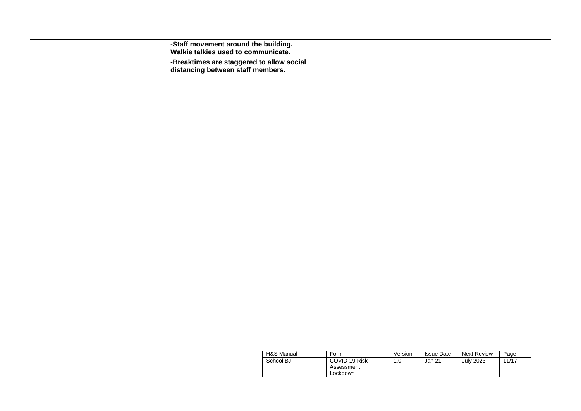|  | -Staff movement around the building.<br>Walkie talkies used to communicate.    |  |  |
|--|--------------------------------------------------------------------------------|--|--|
|  | -Breaktimes are staggered to allow social<br>distancing between staff members. |  |  |
|  |                                                                                |  |  |

| H&S Manual | Form                                    | Version | Issue Date | <b>Next Review</b> | Page  |
|------------|-----------------------------------------|---------|------------|--------------------|-------|
| School BJ  | COVID-19 Risk<br>Assessment<br>∟ockdown | 1.0     | Jan 21     | July 2023          | 11/17 |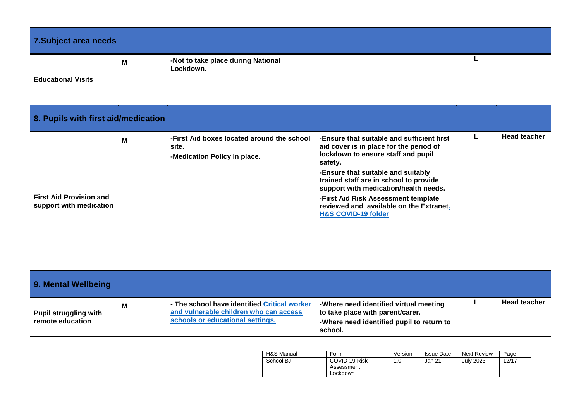| 7. Subject area needs                                     |   |                                                                                                                            |                                                                                                                                                                                                                                                                                                                                                                                     |   |                     |
|-----------------------------------------------------------|---|----------------------------------------------------------------------------------------------------------------------------|-------------------------------------------------------------------------------------------------------------------------------------------------------------------------------------------------------------------------------------------------------------------------------------------------------------------------------------------------------------------------------------|---|---------------------|
| <b>Educational Visits</b>                                 | M | -Not to take place during National<br>Lockdown.                                                                            |                                                                                                                                                                                                                                                                                                                                                                                     | L |                     |
| 8. Pupils with first aid/medication                       |   |                                                                                                                            |                                                                                                                                                                                                                                                                                                                                                                                     |   |                     |
| <b>First Aid Provision and</b><br>support with medication | M | -First Aid boxes located around the school<br>site.<br>-Medication Policy in place.                                        | -Ensure that suitable and sufficient first<br>aid cover is in place for the period of<br>lockdown to ensure staff and pupil<br>safety.<br>-Ensure that suitable and suitably<br>trained staff are in school to provide<br>support with medication/health needs.<br>-First Aid Risk Assessment template<br>reviewed and available on the Extranet.<br><b>H&amp;S COVID-19 folder</b> | L | <b>Head teacher</b> |
| 9. Mental Wellbeing                                       |   |                                                                                                                            |                                                                                                                                                                                                                                                                                                                                                                                     |   |                     |
| <b>Pupil struggling with</b><br>remote education          | M | - The school have identified Critical worker<br>and vulnerable children who can access<br>schools or educational settings. | -Where need identified virtual meeting<br>to take place with parent/carer.<br>-Where need identified pupil to return to<br>school.                                                                                                                                                                                                                                                  | L | <b>Head teacher</b> |

| H&S Manual | Form                                    | Version | <b>Issue Date</b> | <b>Next Review</b> | Page  |
|------------|-----------------------------------------|---------|-------------------|--------------------|-------|
| School BJ  | COVID-19 Risk<br>Assessment<br>_ockdown | .0<br>л | Jan 21            | <b>July 2023</b>   | 12/17 |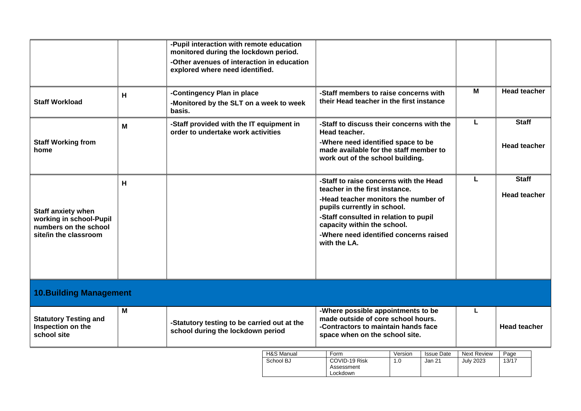|                                                                                                        |   | -Pupil interaction with remote education<br>monitored during the lockdown period.<br>-Other avenues of interaction in education<br>explored where need identified. |                         |                                                                                                                                                                                                                                                                                   |                |                                    |                                        |                                     |  |
|--------------------------------------------------------------------------------------------------------|---|--------------------------------------------------------------------------------------------------------------------------------------------------------------------|-------------------------|-----------------------------------------------------------------------------------------------------------------------------------------------------------------------------------------------------------------------------------------------------------------------------------|----------------|------------------------------------|----------------------------------------|-------------------------------------|--|
| <b>Staff Workload</b>                                                                                  | H | -Contingency Plan in place<br>-Monitored by the SLT on a week to week<br>basis.                                                                                    |                         | -Staff members to raise concerns with<br>their Head teacher in the first instance                                                                                                                                                                                                 |                |                                    | M                                      | <b>Head teacher</b>                 |  |
| <b>Staff Working from</b><br>home                                                                      | M | -Staff provided with the IT equipment in<br>order to undertake work activities                                                                                     |                         | -Staff to discuss their concerns with the<br>Head teacher.<br>-Where need identified space to be<br>made available for the staff member to<br>work out of the school building.                                                                                                    |                |                                    | L                                      | <b>Staff</b><br><b>Head teacher</b> |  |
| <b>Staff anxiety when</b><br>working in school-Pupil<br>numbers on the school<br>site/in the classroom | H |                                                                                                                                                                    |                         | -Staff to raise concerns with the Head<br>teacher in the first instance.<br>-Head teacher monitors the number of<br>pupils currently in school.<br>-Staff consulted in relation to pupil<br>capacity within the school.<br>-Where need identified concerns raised<br>with the LA. |                | г                                  | <b>Staff</b><br><b>Head teacher</b>    |                                     |  |
| <b>10. Building Management</b>                                                                         |   |                                                                                                                                                                    |                         |                                                                                                                                                                                                                                                                                   |                |                                    |                                        |                                     |  |
| <b>Statutory Testing and</b><br>Inspection on the<br>school site                                       | M | -Statutory testing to be carried out at the<br>school during the lockdown period                                                                                   |                         | -Where possible appointments to be<br>made outside of core school hours.<br>-Contractors to maintain hands face<br>space when on the school site.                                                                                                                                 |                |                                    | L                                      | <b>Head teacher</b>                 |  |
|                                                                                                        |   |                                                                                                                                                                    | H&S Manual<br>School BJ | Form<br>COVID-19 Risk<br>Assessment<br>Lockdown                                                                                                                                                                                                                                   | Version<br>1.0 | <b>Issue Date</b><br><b>Jan 21</b> | <b>Next Review</b><br><b>July 2023</b> | Page<br>13/17                       |  |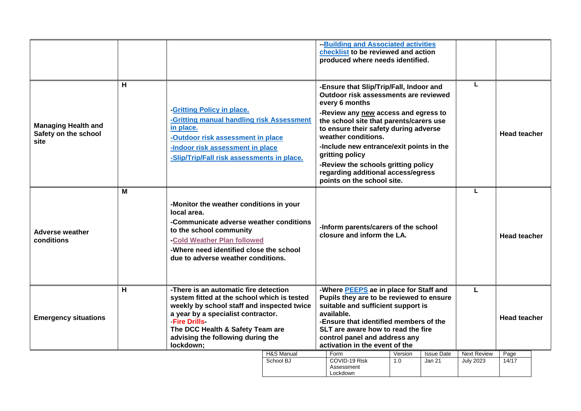|                                                            |   |                                                                                                                                                                                                                                                                                      |            | - Building and Associated activities<br>checklist to be reviewed and action<br>produced where needs identified.                                                                                                                                                                                                                                                                                                                 |         |                   |                    |                     |  |
|------------------------------------------------------------|---|--------------------------------------------------------------------------------------------------------------------------------------------------------------------------------------------------------------------------------------------------------------------------------------|------------|---------------------------------------------------------------------------------------------------------------------------------------------------------------------------------------------------------------------------------------------------------------------------------------------------------------------------------------------------------------------------------------------------------------------------------|---------|-------------------|--------------------|---------------------|--|
| <b>Managing Health and</b><br>Safety on the school<br>site | H | -Gritting Policy in place.<br>-Gritting manual handling risk Assessment<br>in place.<br>-Outdoor risk assessment in place<br>-Indoor risk assessment in place<br>-Slip/Trip/Fall risk assessments in place.                                                                          |            | -Ensure that Slip/Trip/Fall, Indoor and<br>Outdoor risk assessments are reviewed<br>every 6 months<br>-Review any new access and egress to<br>the school site that parents/carers use<br>to ensure their safety during adverse<br>weather conditions.<br>-Include new entrance/exit points in the<br>gritting policy<br>-Review the schools gritting policy<br>regarding additional access/egress<br>points on the school site. |         |                   | L                  | <b>Head teacher</b> |  |
| Adverse weather<br>conditions                              | M | -Monitor the weather conditions in your<br>local area.<br>-Communicate adverse weather conditions<br>to the school community<br>-Cold Weather Plan followed<br>-Where need identified close the school<br>due to adverse weather conditions.                                         |            | -Inform parents/carers of the school<br>closure and inform the LA.                                                                                                                                                                                                                                                                                                                                                              |         |                   | L                  | <b>Head teacher</b> |  |
| <b>Emergency situations</b>                                | H | -There is an automatic fire detection<br>system fitted at the school which is tested<br>weekly by school staff and inspected twice<br>a year by a specialist contractor.<br><b>Fire Drills</b><br>The DCC Health & Safety Team are<br>advising the following during the<br>lockdown; |            | -Where PEEPS ae in place for Staff and<br>Pupils they are to be reviewed to ensure<br>suitable and sufficient support is<br>available.<br>-Ensure that identified members of the<br>SLT are aware how to read the fire<br>control panel and address any<br>activation in the event of the                                                                                                                                       |         |                   | L                  | <b>Head teacher</b> |  |
|                                                            |   |                                                                                                                                                                                                                                                                                      | H&S Manual | Form                                                                                                                                                                                                                                                                                                                                                                                                                            | Version | <b>Issue Date</b> | <b>Next Review</b> | Page                |  |
|                                                            |   |                                                                                                                                                                                                                                                                                      | School BJ  | COVID-19 Risk<br>Assessment<br>Lockdown                                                                                                                                                                                                                                                                                                                                                                                         | 1.0     | <b>Jan 21</b>     | <b>July 2023</b>   | 14/17               |  |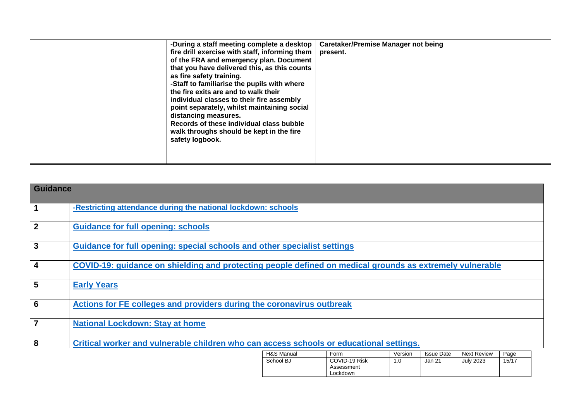| <b>Caretaker/Premise Manager not being</b><br>-During a staff meeting complete a desktop<br>fire drill exercise with staff, informing them<br>present.<br>of the FRA and emergency plan. Document<br>that you have delivered this, as this counts<br>as fire safety training.<br>-Staff to familiarise the pupils with where<br>the fire exits are and to walk their<br>individual classes to their fire assembly<br>point separately, whilst maintaining social<br>distancing measures.<br>Records of these individual class bubble<br>walk throughs should be kept in the fire<br>safety logbook. |  |
|-----------------------------------------------------------------------------------------------------------------------------------------------------------------------------------------------------------------------------------------------------------------------------------------------------------------------------------------------------------------------------------------------------------------------------------------------------------------------------------------------------------------------------------------------------------------------------------------------------|--|
|-----------------------------------------------------------------------------------------------------------------------------------------------------------------------------------------------------------------------------------------------------------------------------------------------------------------------------------------------------------------------------------------------------------------------------------------------------------------------------------------------------------------------------------------------------------------------------------------------------|--|

| <b>Guidance</b> |                                                                                                          |                                                                                         |                                     |                |                             |                                        |               |  |
|-----------------|----------------------------------------------------------------------------------------------------------|-----------------------------------------------------------------------------------------|-------------------------------------|----------------|-----------------------------|----------------------------------------|---------------|--|
|                 |                                                                                                          |                                                                                         |                                     |                |                             |                                        |               |  |
|                 | -Restricting attendance during the national lockdown: schools                                            |                                                                                         |                                     |                |                             |                                        |               |  |
| $\mathbf{2}$    | <b>Guidance for full opening: schools</b>                                                                |                                                                                         |                                     |                |                             |                                        |               |  |
| 3               | Guidance for full opening: special schools and other specialist settings                                 |                                                                                         |                                     |                |                             |                                        |               |  |
| 4               | COVID-19: guidance on shielding and protecting people defined on medical grounds as extremely vulnerable |                                                                                         |                                     |                |                             |                                        |               |  |
| 5               | <b>Early Years</b>                                                                                       |                                                                                         |                                     |                |                             |                                        |               |  |
| 6               | Actions for FE colleges and providers during the coronavirus outbreak                                    |                                                                                         |                                     |                |                             |                                        |               |  |
| $\overline{7}$  | <b>National Lockdown: Stay at home</b>                                                                   |                                                                                         |                                     |                |                             |                                        |               |  |
| 8               |                                                                                                          | Critical worker and vulnerable children who can access schools or educational settings. |                                     |                |                             |                                        |               |  |
|                 |                                                                                                          | H&S Manual<br>School BJ                                                                 | Form<br>COVID-19 Risk<br>Assessment | Version<br>1.0 | <b>Issue Date</b><br>Jan 21 | <b>Next Review</b><br><b>July 2023</b> | Page<br>15/17 |  |

**Lockdown**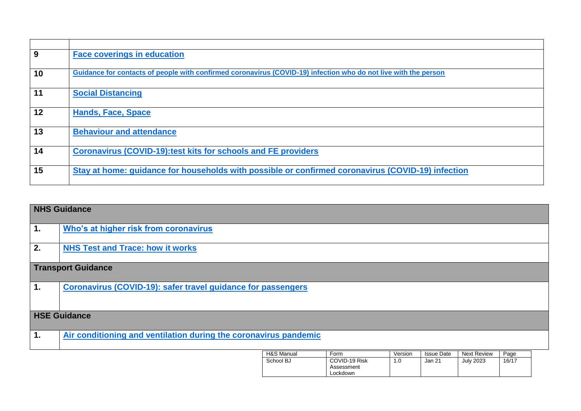| 9  | <b>Face coverings in education</b>                                                                              |
|----|-----------------------------------------------------------------------------------------------------------------|
|    |                                                                                                                 |
| 10 | Guidance for contacts of people with confirmed coronavirus (COVID-19) infection who do not live with the person |
|    |                                                                                                                 |
| 11 | <b>Social Distancing</b>                                                                                        |
|    |                                                                                                                 |
| 12 | <b>Hands, Face, Space</b>                                                                                       |
|    |                                                                                                                 |
| 13 | <b>Behaviour and attendance</b>                                                                                 |
|    |                                                                                                                 |
| 14 | <b>Coronavirus (COVID-19):test kits for schools and FE providers</b>                                            |
|    |                                                                                                                 |
| 15 | Stay at home: guidance for households with possible or confirmed coronavirus (COVID-19) infection               |
|    |                                                                                                                 |

| <b>NHS Guidance</b>       |                                                                  |            |                             |         |                   |                    |       |  |
|---------------------------|------------------------------------------------------------------|------------|-----------------------------|---------|-------------------|--------------------|-------|--|
| $\overline{1}$ .          | Who's at higher risk from coronavirus                            |            |                             |         |                   |                    |       |  |
| 2.                        | <b>NHS Test and Trace: how it works</b>                          |            |                             |         |                   |                    |       |  |
| <b>Transport Guidance</b> |                                                                  |            |                             |         |                   |                    |       |  |
| $\overline{1}$ .          | Coronavirus (COVID-19): safer travel guidance for passengers     |            |                             |         |                   |                    |       |  |
| <b>HSE Guidance</b>       |                                                                  |            |                             |         |                   |                    |       |  |
| $\mathbf 1$ .             | Air conditioning and ventilation during the coronavirus pandemic |            |                             |         |                   |                    |       |  |
|                           |                                                                  | H&S Manual | Form                        | Version | <b>Issue Date</b> | <b>Next Review</b> | Page  |  |
|                           |                                                                  | School BJ  | COVID-19 Risk<br>Assessment | 1.0     | Jan 21            | <b>July 2023</b>   | 16/17 |  |

**Lockdown**